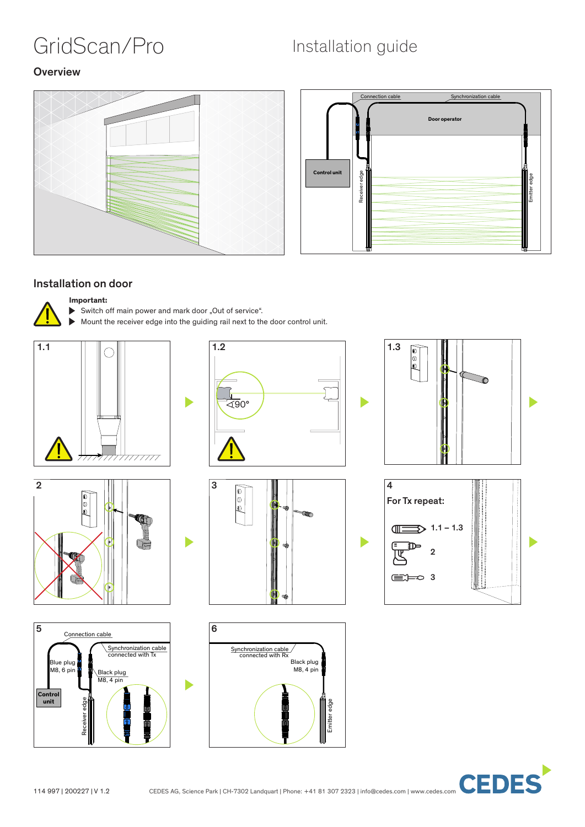# GridScan/Pro Installation guide

ħ

### **Overview**





### Installation on door

### **Important:**

- Switch off main power and mark door "Out of service".
- Mount the receiver edge into the guiding rail next to the door control unit.

D















**CEDES**